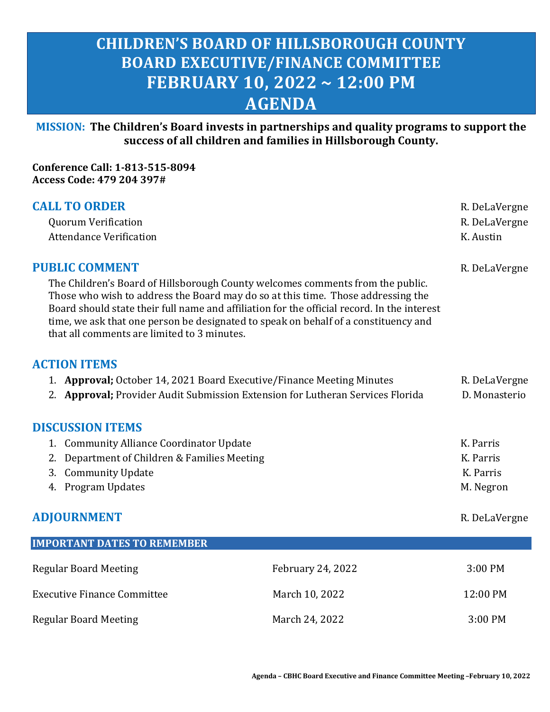# **CHILDREN'S BOARD OF HILLSBOROUGH COUNTY BOARD EXECUTIVE/FINANCE COMMITTEE FEBRUARY 10, 2022 ~ 12:00 PM AGENDA**

**MISSION: The Children's Board invests in partnerships and quality programs to support the success of all children and families in Hillsborough County.**

**Conference Call: 1-813-515-8094 Access Code: 479 204 397#**

| <b>CALL TO ORDER</b>                                                                                                                                                                                                                                                                                                                                                                                    | R. DeLaVergne                                                                  |               |
|---------------------------------------------------------------------------------------------------------------------------------------------------------------------------------------------------------------------------------------------------------------------------------------------------------------------------------------------------------------------------------------------------------|--------------------------------------------------------------------------------|---------------|
| <b>Quorum Verification</b>                                                                                                                                                                                                                                                                                                                                                                              | R. DeLaVergne                                                                  |               |
| <b>Attendance Verification</b>                                                                                                                                                                                                                                                                                                                                                                          |                                                                                | K. Austin     |
| <b>PUBLIC COMMENT</b>                                                                                                                                                                                                                                                                                                                                                                                   |                                                                                | R. DeLaVergne |
| The Children's Board of Hillsborough County welcomes comments from the public.<br>Those who wish to address the Board may do so at this time. Those addressing the<br>Board should state their full name and affiliation for the official record. In the interest<br>time, we ask that one person be designated to speak on behalf of a constituency and<br>that all comments are limited to 3 minutes. |                                                                                |               |
| <b>ACTION ITEMS</b>                                                                                                                                                                                                                                                                                                                                                                                     |                                                                                |               |
| 1. Approval; October 14, 2021 Board Executive/Finance Meeting Minutes                                                                                                                                                                                                                                                                                                                                   |                                                                                | R. DeLaVergne |
|                                                                                                                                                                                                                                                                                                                                                                                                         | 2. Approval; Provider Audit Submission Extension for Lutheran Services Florida | D. Monasterio |
| <b>DISCUSSION ITEMS</b>                                                                                                                                                                                                                                                                                                                                                                                 |                                                                                |               |
| 1. Community Alliance Coordinator Update                                                                                                                                                                                                                                                                                                                                                                |                                                                                | K. Parris     |
| 2. Department of Children & Families Meeting                                                                                                                                                                                                                                                                                                                                                            |                                                                                | K. Parris     |
| 3. Community Update                                                                                                                                                                                                                                                                                                                                                                                     | K. Parris                                                                      |               |
| 4. Program Updates                                                                                                                                                                                                                                                                                                                                                                                      | M. Negron                                                                      |               |
| <b>ADJOURNMENT</b>                                                                                                                                                                                                                                                                                                                                                                                      | R. DeLaVergne                                                                  |               |
| <b>IMPORTANT DATES TO REMEMBER</b>                                                                                                                                                                                                                                                                                                                                                                      |                                                                                |               |
| <b>Regular Board Meeting</b>                                                                                                                                                                                                                                                                                                                                                                            | February 24, 2022                                                              | 3:00 PM       |
| <b>Executive Finance Committee</b>                                                                                                                                                                                                                                                                                                                                                                      | March 10, 2022                                                                 | 12:00 PM      |
| <b>Regular Board Meeting</b>                                                                                                                                                                                                                                                                                                                                                                            | March 24, 2022                                                                 | 3:00 PM       |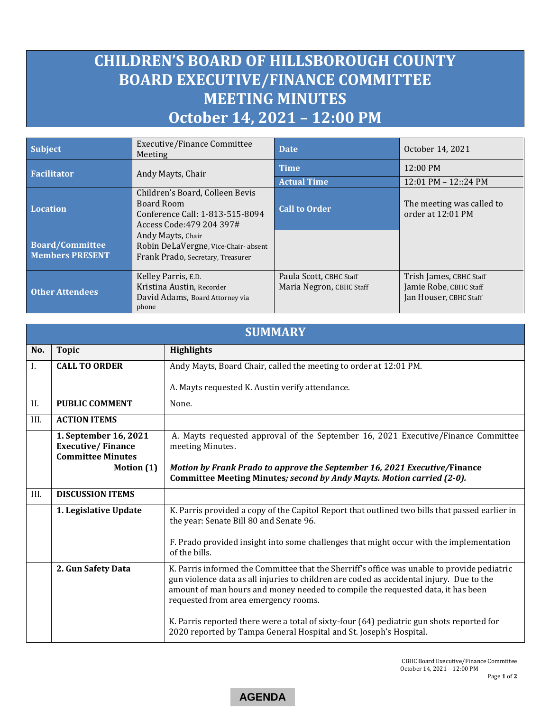# <span id="page-1-0"></span>**CHILDREN'S BOARD OF HILLSBOROUGH COUNTY BOARD EXECUTIVE/FINANCE COMMITTEE MEETING MINUTES October 14, 2021 – 12:00 PM**

| <b>Subject</b>                                                                                                                                    | <b>Executive/Finance Committee</b><br>Meeting                                                | <b>Date</b>                                         | October 14, 2021                                                            |
|---------------------------------------------------------------------------------------------------------------------------------------------------|----------------------------------------------------------------------------------------------|-----------------------------------------------------|-----------------------------------------------------------------------------|
| <b>Facilitator</b>                                                                                                                                | Andy Mayts, Chair                                                                            | <b>Time</b>                                         | 12:00 PM                                                                    |
|                                                                                                                                                   |                                                                                              | <b>Actual Time</b>                                  | 12:01 PM - 12::24 PM                                                        |
| Children's Board, Colleen Bevis<br>Board Room<br><b>Location</b><br>Conference Call: 1-813-515-8094<br>Access Code: 479 204 397#                  |                                                                                              | <b>Call to Order</b>                                | The meeting was called to<br>order at 12:01 PM                              |
| Andy Mayts, Chair<br><b>Board/Committee</b><br>Robin DeLaVergne, Vice-Chair-absent<br><b>Members PRESENT</b><br>Frank Prado, Secretary, Treasurer |                                                                                              |                                                     |                                                                             |
| <b>Other Attendees</b>                                                                                                                            | Kelley Parris, E.D.<br>Kristina Austin, Recorder<br>David Adams, Board Attorney via<br>phone | Paula Scott, CBHC Staff<br>Maria Negron, CBHC Staff | Trish James, CBHC Staff<br>Jamie Robe, CBHC Staff<br>Jan Houser, CBHC Staff |

| <b>SUMMARY</b> |                                                                               |                                                                                                                                                                                                                                                                                                                    |  |  |
|----------------|-------------------------------------------------------------------------------|--------------------------------------------------------------------------------------------------------------------------------------------------------------------------------------------------------------------------------------------------------------------------------------------------------------------|--|--|
| No.            | <b>Topic</b>                                                                  | <b>Highlights</b>                                                                                                                                                                                                                                                                                                  |  |  |
| L.             | <b>CALL TO ORDER</b>                                                          | Andy Mayts, Board Chair, called the meeting to order at 12:01 PM.                                                                                                                                                                                                                                                  |  |  |
|                |                                                                               | A. Mayts requested K. Austin verify attendance.                                                                                                                                                                                                                                                                    |  |  |
| II.            | <b>PUBLIC COMMENT</b>                                                         | None.                                                                                                                                                                                                                                                                                                              |  |  |
| III.           | <b>ACTION ITEMS</b>                                                           |                                                                                                                                                                                                                                                                                                                    |  |  |
|                | 1. September 16, 2021<br><b>Executive/Finance</b><br><b>Committee Minutes</b> | A. Mayts requested approval of the September 16, 2021 Executive/Finance Committee<br>meeting Minutes.                                                                                                                                                                                                              |  |  |
|                | Motion (1)                                                                    | Motion by Frank Prado to approve the September 16, 2021 Executive/Finance                                                                                                                                                                                                                                          |  |  |
|                |                                                                               | Committee Meeting Minutes; second by Andy Mayts. Motion carried (2-0).                                                                                                                                                                                                                                             |  |  |
| III.           | <b>DISCUSSION ITEMS</b>                                                       |                                                                                                                                                                                                                                                                                                                    |  |  |
|                | 1. Legislative Update                                                         | K. Parris provided a copy of the Capitol Report that outlined two bills that passed earlier in<br>the year: Senate Bill 80 and Senate 96.                                                                                                                                                                          |  |  |
|                |                                                                               | F. Prado provided insight into some challenges that might occur with the implementation<br>of the bills.                                                                                                                                                                                                           |  |  |
|                | 2. Gun Safety Data                                                            | K. Parris informed the Committee that the Sherriff's office was unable to provide pediatric<br>gun violence data as all injuries to children are coded as accidental injury. Due to the<br>amount of man hours and money needed to compile the requested data, it has been<br>requested from area emergency rooms. |  |  |
|                |                                                                               | K. Parris reported there were a total of sixty-four (64) pediatric gun shots reported for<br>2020 reported by Tampa General Hospital and St. Joseph's Hospital.                                                                                                                                                    |  |  |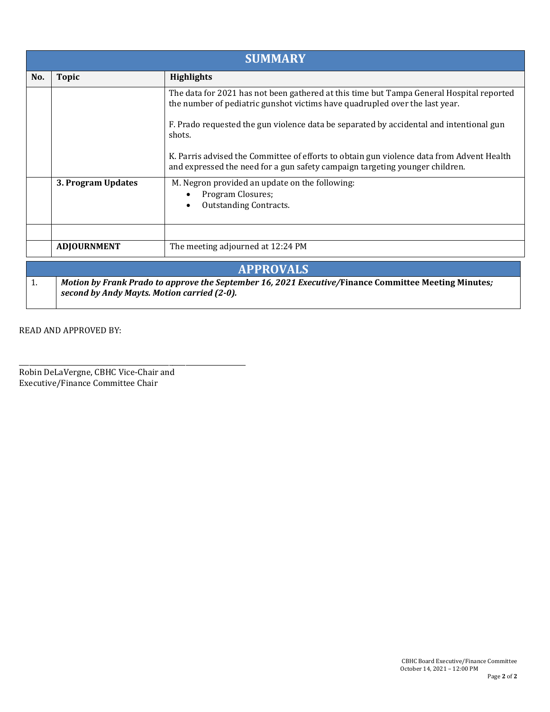| <b>SUMMARY</b>                                                                                                                                            |                                                         |                                                                                                                                                                           |  |
|-----------------------------------------------------------------------------------------------------------------------------------------------------------|---------------------------------------------------------|---------------------------------------------------------------------------------------------------------------------------------------------------------------------------|--|
| No.                                                                                                                                                       | <b>Topic</b>                                            | <b>Highlights</b>                                                                                                                                                         |  |
|                                                                                                                                                           |                                                         | The data for 2021 has not been gathered at this time but Tampa General Hospital reported<br>the number of pediatric gunshot victims have quadrupled over the last year.   |  |
|                                                                                                                                                           |                                                         | F. Prado requested the gun violence data be separated by accidental and intentional gun<br>shots.                                                                         |  |
|                                                                                                                                                           |                                                         | K. Parris advised the Committee of efforts to obtain gun violence data from Advent Health<br>and expressed the need for a gun safety campaign targeting younger children. |  |
|                                                                                                                                                           | 3. Program Updates                                      | M. Negron provided an update on the following:<br>Program Closures;<br><b>Outstanding Contracts.</b>                                                                      |  |
|                                                                                                                                                           |                                                         |                                                                                                                                                                           |  |
|                                                                                                                                                           | <b>ADJOURNMENT</b><br>The meeting adjourned at 12:24 PM |                                                                                                                                                                           |  |
| <b>APPROVALS</b>                                                                                                                                          |                                                         |                                                                                                                                                                           |  |
| 1.<br>Motion by Frank Prado to approve the September 16, 2021 Executive/Finance Committee Meeting Minutes;<br>second by Andy Mayts. Motion carried (2-0). |                                                         |                                                                                                                                                                           |  |

READ AND APPROVED BY:

\_\_\_\_\_\_\_\_\_\_\_\_\_\_\_\_\_\_\_\_\_\_\_\_\_\_\_\_\_\_\_\_\_\_\_\_\_\_\_\_\_\_\_\_\_\_\_\_\_\_\_\_\_\_\_\_\_\_\_\_\_\_\_\_\_\_\_\_ Robin DeLaVergne, CBHC Vice-Chair and Executive/Finance Committee Chair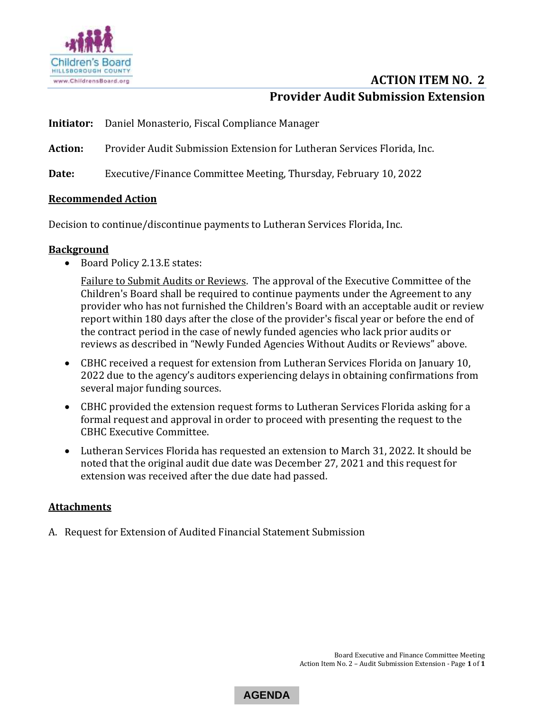<span id="page-3-0"></span>

# **ACTION ITEM NO. 2 Provider Audit Submission Extension**

- **Initiator:** Daniel Monasterio, Fiscal Compliance Manager
- **Action:** Provider Audit Submission Extension for Lutheran Services Florida, Inc.

**Date:** Executive/Finance Committee Meeting, Thursday, February 10, 2022

### **Recommended Action**

Decision to continue/discontinue payments to Lutheran Services Florida, Inc.

#### **Background**

• Board Policy 2.13.E states:

Failure to Submit Audits or Reviews. The approval of the Executive Committee of the Children's Board shall be required to continue payments under the Agreement to any provider who has not furnished the Children's Board with an acceptable audit or review report within 180 days after the close of the provider's fiscal year or before the end of the contract period in the case of newly funded agencies who lack prior audits or reviews as described in "Newly Funded Agencies Without Audits or Reviews" above.

- CBHC received a request for extension from Lutheran Services Florida on January 10, 2022 due to the agency's auditors experiencing delays in obtaining confirmations from several major funding sources.
- CBHC provided the extension request forms to Lutheran Services Florida asking for a formal request and approval in order to proceed with presenting the request to the CBHC Executive Committee.
- Lutheran Services Florida has requested an extension to March 31, 2022. It should be noted that the original audit due date was December 27, 2021 and this request for extension was received after the due date had passed.

### **Attachments**

A. Request for Extension of Audited Financial Statement Submission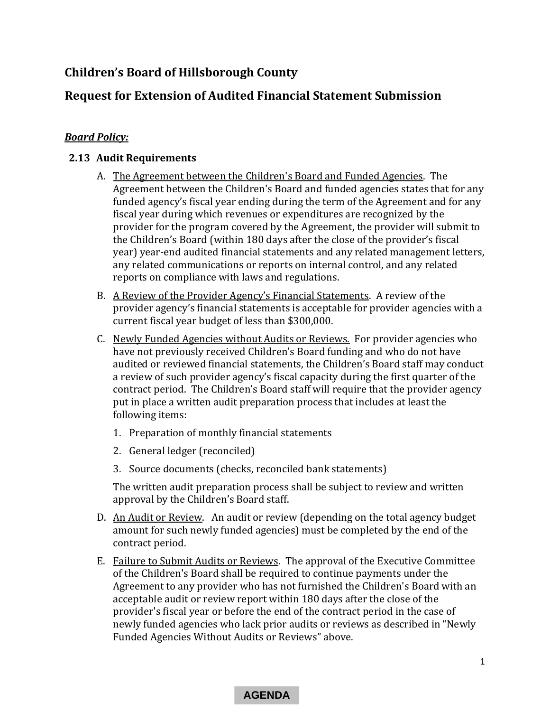# **Children's Board of Hillsborough County**

## **Request for Extension of Audited Financial Statement Submission**

## *Board Policy:*

### **2.13 Audit Requirements**

- A. The Agreement between the Children's Board and Funded Agencies. The Agreement between the Children's Board and funded agencies states that for any funded agency's fiscal year ending during the term of the Agreement and for any fiscal year during which revenues or expenditures are recognized by the provider for the program covered by the Agreement, the provider will submit to the Children's Board (within 180 days after the close of the provider's fiscal year) year-end audited financial statements and any related management letters, any related communications or reports on internal control, and any related reports on compliance with laws and regulations.
- B. A Review of the Provider Agency's Financial Statements. A review of the provider agency's financial statements is acceptable for provider agencies with a current fiscal year budget of less than \$300,000.
- C. Newly Funded Agencies without Audits or Reviews. For provider agencies who have not previously received Children's Board funding and who do not have audited or reviewed financial statements, the Children's Board staff may conduct a review of such provider agency's fiscal capacity during the first quarter of the contract period. The Children's Board staff will require that the provider agency put in place a written audit preparation process that includes at least the following items:
	- 1. Preparation of monthly financial statements
	- 2. General ledger (reconciled)
	- 3. Source documents (checks, reconciled bank statements)

The written audit preparation process shall be subject to review and written approval by the Children's Board staff.

- D. An Audit or Review. An audit or review (depending on the total agency budget amount for such newly funded agencies) must be completed by the end of the contract period.
- E. Failure to Submit Audits or Reviews. The approval of the Executive Committee of the Children's Board shall be required to continue payments under the Agreement to any provider who has not furnished the Children's Board with an acceptable audit or review report within 180 days after the close of the provider's fiscal year or before the end of the contract period in the case of newly funded agencies who lack prior audits or reviews as described in "Newly Funded Agencies Without Audits or Reviews" above.